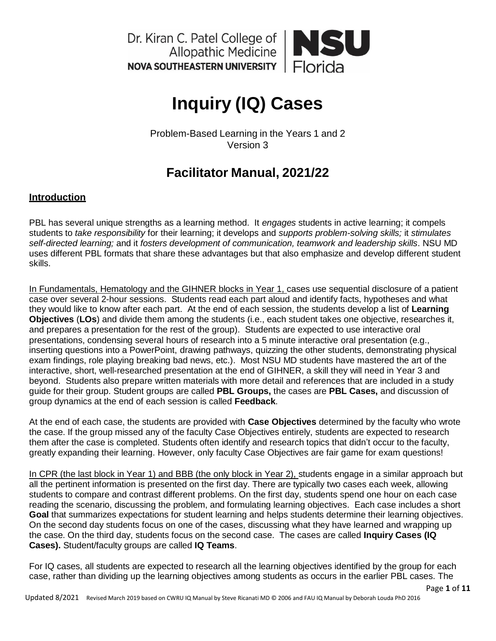

# **Inquiry (IQ) Cases**

Problem-Based Learning in the Years 1 and 2 Version 3

# **Facilitator Manual, 2021/22**

# **Introduction**

PBL has several unique strengths as a learning method. It *engages* students in active learning; it compels students to *take responsibility* for their learning; it develops and *supports problem-solving skills;* it *stimulates self-directed learning;* and it *fosters development of communication, teamwork and leadership skills*. NSU MD uses different PBL formats that share these advantages but that also emphasize and develop different student skills.

In Fundamentals, Hematology and the GIHNER blocks in Year 1, cases use sequential disclosure of a patient case over several 2-hour sessions. Students read each part aloud and identify facts, hypotheses and what they would like to know after each part. At the end of each session, the students develop a list of **Learning Objectives** (**LOs**) and divide them among the students (i.e., each student takes one objective, researches it, and prepares a presentation for the rest of the group). Students are expected to use interactive oral presentations, condensing several hours of research into a 5 minute interactive oral presentation (e.g., inserting questions into a PowerPoint, drawing pathways, quizzing the other students, demonstrating physical exam findings, role playing breaking bad news, etc.). Most NSU MD students have mastered the art of the interactive, short, well-researched presentation at the end of GIHNER, a skill they will need in Year 3 and beyond. Students also prepare written materials with more detail and references that are included in a study guide for their group. Student groups are called **PBL Groups,** the cases are **PBL Cases,** and discussion of group dynamics at the end of each session is called **Feedback**.

At the end of each case, the students are provided with **Case Objectives** determined by the faculty who wrote the case. If the group missed any of the faculty Case Objectives entirely, students are expected to research them after the case is completed. Students often identify and research topics that didn't occur to the faculty, greatly expanding their learning. However, only faculty Case Objectives are fair game for exam questions!

In CPR (the last block in Year 1) and BBB (the only block in Year 2), students engage in a similar approach but all the pertinent information is presented on the first day. There are typically two cases each week, allowing students to compare and contrast different problems. On the first day, students spend one hour on each case reading the scenario, discussing the problem, and formulating learning objectives. Each case includes a short **Goal** that summarizes expectations for student learning and helps students determine their learning objectives. On the second day students focus on one of the cases, discussing what they have learned and wrapping up the case. On the third day, students focus on the second case. The cases are called **Inquiry Cases (IQ Cases).** Student/faculty groups are called **IQ Teams**.

For IQ cases, all students are expected to research all the learning objectives identified by the group for each case, rather than dividing up the learning objectives among students as occurs in the earlier PBL cases. The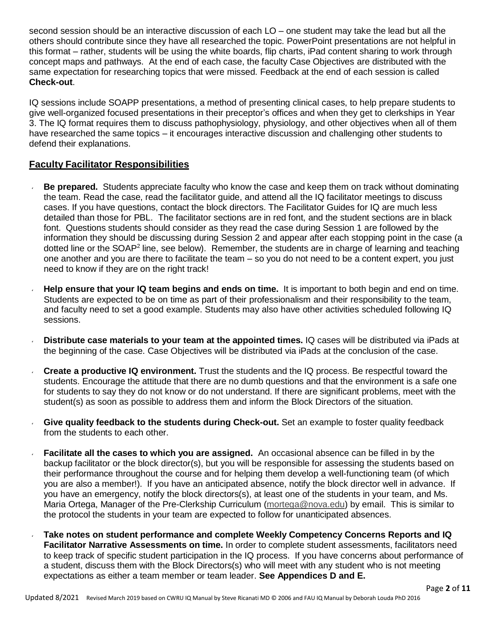second session should be an interactive discussion of each LO – one student may take the lead but all the others should contribute since they have all researched the topic. PowerPoint presentations are not helpful in this format – rather, students will be using the white boards, flip charts, iPad content sharing to work through concept maps and pathways. At the end of each case, the faculty Case Objectives are distributed with the same expectation for researching topics that were missed. Feedback at the end of each session is called **Check-out**.

IQ sessions include SOAPP presentations, a method of presenting clinical cases, to help prepare students to give well-organized focused presentations in their preceptor's offices and when they get to clerkships in Year 3. The IQ format requires them to discuss pathophysiology, physiology, and other objectives when all of them have researched the same topics – it encourages interactive discussion and challenging other students to defend their explanations.

# **Faculty Facilitator Responsibilities**

- **Be prepared.** Students appreciate faculty who know the case and keep them on track without dominating the team. Read the case, read the facilitator guide, and attend all the IQ facilitator meetings to discuss cases. If you have questions, contact the block directors. The Facilitator Guides for IQ are much less detailed than those for PBL. The facilitator sections are in red font, and the student sections are in black font. Questions students should consider as they read the case during Session 1 are followed by the information they should be discussing during Session 2 and appear after each stopping point in the case (a dotted line or the SOAP<sup>2</sup> line, see below). Remember, the students are in charge of learning and teaching one another and you are there to facilitate the team – so you do not need to be a content expert, you just need to know if they are on the right track!
- **Help ensure that your IQ team begins and ends on time.** It is important to both begin and end on time. Students are expected to be on time as part of their professionalism and their responsibility to the team, and faculty need to set a good example. Students may also have other activities scheduled following IQ sessions.
- **Distribute case materials to your team at the appointed times.** IQ cases will be distributed via iPads at the beginning of the case. Case Objectives will be distributed via iPads at the conclusion of the case.
- **Create a productive IQ environment.** Trust the students and the IQ process. Be respectful toward the students. Encourage the attitude that there are no dumb questions and that the environment is a safe one for students to say they do not know or do not understand. If there are significant problems, meet with the student(s) as soon as possible to address them and inform the Block Directors of the situation.
- **Give quality feedback to the students during Check-out.** Set an example to foster quality feedback from the students to each other.
- **Facilitate all the cases to which you are assigned.** An occasional absence can be filled in by the backup facilitator or the block director(s), but you will be responsible for assessing the students based on their performance throughout the course and for helping them develop a well-functioning team (of which you are also a member!). If you have an anticipated absence, notify the block director well in advance. If you have an emergency, notify the block directors(s), at least one of the students in your team, and Ms. Maria Ortega, Manager of the Pre-Clerkship Curriculum [\(mortega@nova.edu\)](mailto:mortega@nova.edu) by email. This is similar to the protocol the students in your team are expected to follow for unanticipated absences.
- **Take notes on student performance and complete Weekly Competency Concerns Reports and IQ Facilitator Narrative Assessments on time.** In order to complete student assessments, facilitators need to keep track of specific student participation in the IQ process. If you have concerns about performance of a student, discuss them with the Block Directors(s) who will meet with any student who is not meeting expectations as either a team member or team leader. **See Appendices D and E.**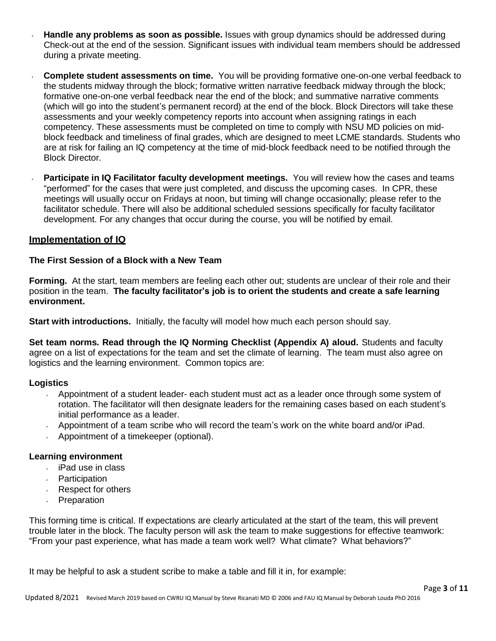- **Handle any problems as soon as possible.** Issues with group dynamics should be addressed during Check-out at the end of the session. Significant issues with individual team members should be addressed during a private meeting.
- **Complete student assessments on time.** You will be providing formative one-on-one verbal feedback to the students midway through the block; formative written narrative feedback midway through the block; formative one-on-one verbal feedback near the end of the block; and summative narrative comments (which will go into the student's permanent record) at the end of the block. Block Directors will take these assessments and your weekly competency reports into account when assigning ratings in each competency. These assessments must be completed on time to comply with NSU MD policies on midblock feedback and timeliness of final grades, which are designed to meet LCME standards. Students who are at risk for failing an IQ competency at the time of mid-block feedback need to be notified through the Block Director.
- **Participate in IQ Facilitator faculty development meetings.** You will review how the cases and teams "performed" for the cases that were just completed, and discuss the upcoming cases. In CPR, these meetings will usually occur on Fridays at noon, but timing will change occasionally; please refer to the facilitator schedule. There will also be additional scheduled sessions specifically for faculty facilitator development. For any changes that occur during the course, you will be notified by email.

# **Implementation of IQ**

# **The First Session of a Block with a New Team**

**Forming.** At the start, team members are feeling each other out; students are unclear of their role and their position in the team. **The faculty facilitator's job is to orient the students and create a safe learning environment.**

**Start with introductions.** Initially, the faculty will model how much each person should say.

**Set team norms. Read through the IQ Norming Checklist (Appendix A) aloud.** Students and faculty agree on a list of expectations for the team and set the climate of learning. The team must also agree on logistics and the learning environment. Common topics are:

#### **Logistics**

- Appointment of a student leader- each student must act as a leader once through some system of rotation. The facilitator will then designate leaders for the remaining cases based on each student's initial performance as a leader.
- Appointment of a team scribe who will record the team's work on the white board and/or iPad.
- Appointment of a timekeeper (optional).

#### **Learning environment**

- iPad use in class
- **Participation**
- Respect for others  $\mathbf{v}$
- **Preparation**

This forming time is critical. If expectations are clearly articulated at the start of the team, this will prevent trouble later in the block. The faculty person will ask the team to make suggestions for effective teamwork: "From your past experience, what has made a team work well? What climate? What behaviors?"

It may be helpful to ask a student scribe to make a table and fill it in, for example: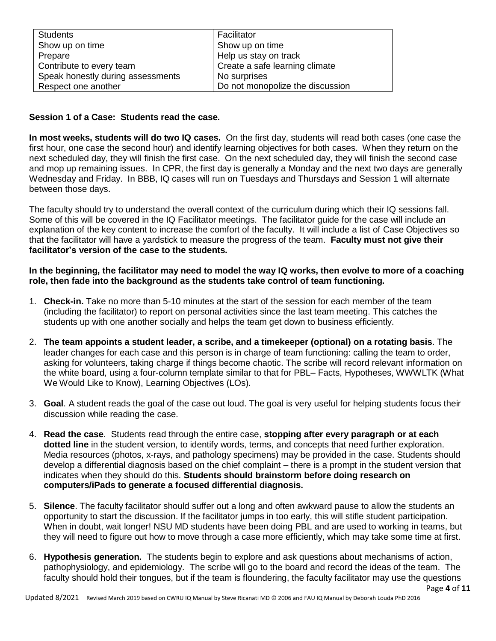| <b>Students</b>                   | Facilitator                      |
|-----------------------------------|----------------------------------|
| Show up on time                   | Show up on time                  |
| Prepare                           | Help us stay on track            |
| Contribute to every team          | Create a safe learning climate   |
| Speak honestly during assessments | No surprises                     |
| Respect one another               | Do not monopolize the discussion |

# **Session 1 of a Case: Students read the case.**

**In most weeks, students will do two IQ cases.** On the first day, students will read both cases (one case the first hour, one case the second hour) and identify learning objectives for both cases. When they return on the next scheduled day, they will finish the first case. On the next scheduled day, they will finish the second case and mop up remaining issues. In CPR, the first day is generally a Monday and the next two days are generally Wednesday and Friday. In BBB, IQ cases will run on Tuesdays and Thursdays and Session 1 will alternate between those days.

The faculty should try to understand the overall context of the curriculum during which their IQ sessions fall. Some of this will be covered in the IQ Facilitator meetings. The facilitator guide for the case will include an explanation of the key content to increase the comfort of the faculty. It will include a list of Case Objectives so that the facilitator will have a yardstick to measure the progress of the team. **Faculty must not give their facilitator's version of the case to the students.**

# **In the beginning, the facilitator may need to model the way IQ works, then evolve to more of a coaching role, then fade into the background as the students take control of team functioning.**

- 1. **Check-in.** Take no more than 5-10 minutes at the start of the session for each member of the team (including the facilitator) to report on personal activities since the last team meeting. This catches the students up with one another socially and helps the team get down to business efficiently.
- 2. **The team appoints a student leader, a scribe, and a timekeeper (optional) on a rotating basis**. The leader changes for each case and this person is in charge of team functioning: calling the team to order, asking for volunteers, taking charge if things become chaotic. The scribe will record relevant information on the white board, using a four-column template similar to that for PBL– Facts, Hypotheses, WWWLTK (What We Would Like to Know), Learning Objectives (LOs).
- 3. **Goal**. A student reads the goal of the case out loud. The goal is very useful for helping students focus their discussion while reading the case.
- 4. **Read the case**. Students read through the entire case, **stopping after every paragraph or at each dotted line** in the student version, to identify words, terms, and concepts that need further exploration. Media resources (photos, x-rays, and pathology specimens) may be provided in the case. Students should develop a differential diagnosis based on the chief complaint – there is a prompt in the student version that indicates when they should do this. **Students should brainstorm before doing research on computers/iPads to generate a focused differential diagnosis.**
- 5. **Silence**. The faculty facilitator should suffer out a long and often awkward pause to allow the students an opportunity to start the discussion. If the facilitator jumps in too early, this will stifle student participation. When in doubt, wait longer! NSU MD students have been doing PBL and are used to working in teams, but they will need to figure out how to move through a case more efficiently, which may take some time at first.
- 6. **Hypothesis generation.** The students begin to explore and ask questions about mechanisms of action, pathophysiology, and epidemiology. The scribe will go to the board and record the ideas of the team. The faculty should hold their tongues, but if the team is floundering, the faculty facilitator may use the questions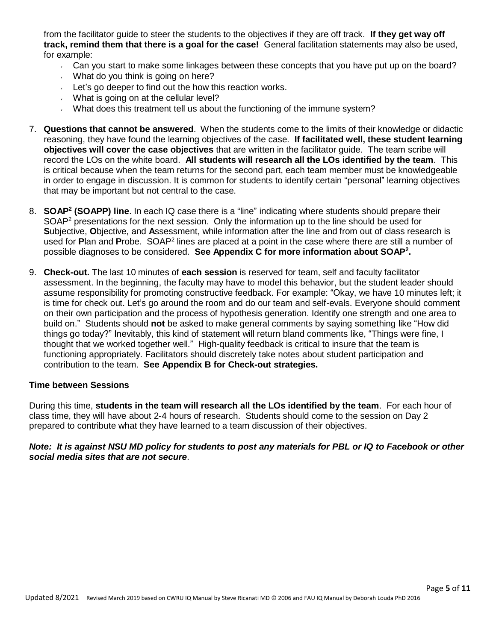from the facilitator guide to steer the students to the objectives if they are off track. **If they get way off track, remind them that there is a goal for the case!** General facilitation statements may also be used, for example:

- Can you start to make some linkages between these concepts that you have put up on the board?
- What do you think is going on here?
- Let's go deeper to find out the how this reaction works.
- What is going on at the cellular level?
- What does this treatment tell us about the functioning of the immune system?
- 7. **Questions that cannot be answered**. When the students come to the limits of their knowledge or didactic reasoning, they have found the learning objectives of the case. **If facilitated well, these student learning objectives will cover the case objectives** that are written in the facilitator guide. The team scribe will record the LOs on the white board. **All students will research all the LOs identified by the team**. This is critical because when the team returns for the second part, each team member must be knowledgeable in order to engage in discussion. It is common for students to identify certain "personal" learning objectives that may be important but not central to the case.
- 8. **SOAP 2 (SOAPP) line**. In each IQ case there is a "line" indicating where students should prepare their SOAP<sup>2</sup> presentations for the next session. Only the information up to the line should be used for **S**ubjective, **O**bjective, and **A**ssessment, while information after the line and from out of class research is used for Plan and Probe. SOAP<sup>2</sup> lines are placed at a point in the case where there are still a number of possible diagnoses to be considered. **See Appendix C for more information about SOAP 2 .**
- 9. **Check-out.** The last 10 minutes of **each session** is reserved for team, self and faculty facilitator assessment. In the beginning, the faculty may have to model this behavior, but the student leader should assume responsibility for promoting constructive feedback. For example: "Okay, we have 10 minutes left; it is time for check out. Let's go around the room and do our team and self-evals. Everyone should comment on their own participation and the process of hypothesis generation. Identify one strength and one area to build on." Students should **not** be asked to make general comments by saying something like "How did things go today?" Inevitably, this kind of statement will return bland comments like, "Things were fine, I thought that we worked together well." High-quality feedback is critical to insure that the team is functioning appropriately. Facilitators should discretely take notes about student participation and contribution to the team. **See Appendix B for Check-out strategies.**

#### **Time between Sessions**

During this time, **students in the team will research all the LOs identified by the team**. For each hour of class time, they will have about 2-4 hours of research. Students should come to the session on Day 2 prepared to contribute what they have learned to a team discussion of their objectives.

*Note: It is against NSU MD policy for students to post any materials for PBL or IQ to Facebook or other social media sites that are not secure*.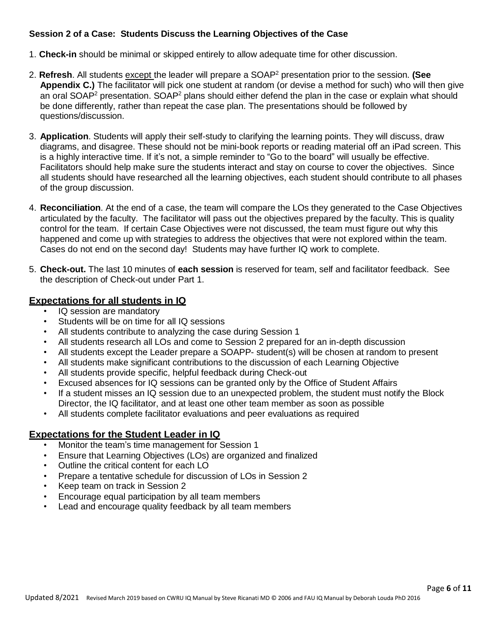# **Session 2 of a Case: Students Discuss the Learning Objectives of the Case**

- 1. **Check-in** should be minimal or skipped entirely to allow adequate time for other discussion.
- 2. **Refresh**. All students except the leader will prepare a SOAP<sup>2</sup> presentation prior to the session. **(See Appendix C.)** The facilitator will pick one student at random (or devise a method for such) who will then give an oral SOAP<sup>2</sup> presentation. SOAP<sup>2</sup> plans should either defend the plan in the case or explain what should be done differently, rather than repeat the case plan. The presentations should be followed by questions/discussion.
- 3. **Application**. Students will apply their self-study to clarifying the learning points. They will discuss, draw diagrams, and disagree. These should not be mini-book reports or reading material off an iPad screen. This is a highly interactive time. If it's not, a simple reminder to "Go to the board" will usually be effective. Facilitators should help make sure the students interact and stay on course to cover the objectives. Since all students should have researched all the learning objectives, each student should contribute to all phases of the group discussion.
- 4. **Reconciliation**. At the end of a case, the team will compare the LOs they generated to the Case Objectives articulated by the faculty. The facilitator will pass out the objectives prepared by the faculty. This is quality control for the team. If certain Case Objectives were not discussed, the team must figure out why this happened and come up with strategies to address the objectives that were not explored within the team. Cases do not end on the second day! Students may have further IQ work to complete.
- 5. **Check-out.** The last 10 minutes of **each session** is reserved for team, self and facilitator feedback. See the description of Check-out under Part 1.

# **Expectations for all students in IQ**

- IQ session are mandatory
- Students will be on time for all IQ sessions
- All students contribute to analyzing the case during Session 1
- All students research all LOs and come to Session 2 prepared for an in-depth discussion
- All students except the Leader prepare a SOAPP- student(s) will be chosen at random to present
- All students make significant contributions to the discussion of each Learning Objective
- All students provide specific, helpful feedback during Check-out
- Excused absences for IQ sessions can be granted only by the Office of Student Affairs
- If a student misses an IQ session due to an unexpected problem, the student must notify the Block Director, the IQ facilitator, and at least one other team member as soon as possible
- All students complete facilitator evaluations and peer evaluations as required

# **Expectations for the Student Leader in IQ**

- Monitor the team's time management for Session 1
- Ensure that Learning Objectives (LOs) are organized and finalized
- Outline the critical content for each LO
- Prepare a tentative schedule for discussion of LOs in Session 2
- Keep team on track in Session 2
- Encourage equal participation by all team members
- Lead and encourage quality feedback by all team members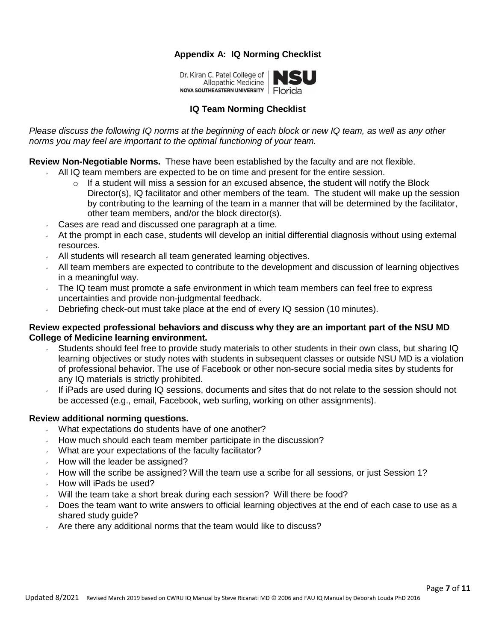# **Appendix A: IQ Norming Checklist**

Dr. Kiran C. Patel College of Allopathic Medicine NOVA SOUTHEASTERN UNIVERSITY Florida

# **IQ Team Norming Checklist**

*Please discuss the following IQ norms at the beginning of each block or new IQ team, as well as any other norms you may feel are important to the optimal functioning of your team.*

# **Review Non-Negotiable Norms.** These have been established by the faculty and are not flexible.

- $\sim$  All IQ team members are expected to be on time and present for the entire session.
	- $\circ$  If a student will miss a session for an excused absence, the student will notify the Block Director(s), IQ facilitator and other members of the team. The student will make up the session by contributing to the learning of the team in a manner that will be determined by the facilitator, other team members, and/or the block director(s).
- Cases are read and discussed one paragraph at a time.
- At the prompt in each case, students will develop an initial differential diagnosis without using external resources.
- All students will research all team generated learning objectives.
- $\sim$  All team members are expected to contribute to the development and discussion of learning objectives in a meaningful way.
- The IQ team must promote a safe environment in which team members can feel free to express uncertainties and provide non-judgmental feedback.
- Debriefing check-out must take place at the end of every IQ session (10 minutes).  $\mathbf{v}$

# **Review expected professional behaviors and discuss why they are an important part of the NSU MD College of Medicine learning environment.**

- Students should feel free to provide study materials to other students in their own class, but sharing IQ learning objectives or study notes with students in subsequent classes or outside NSU MD is a violation of professional behavior. The use of Facebook or other non-secure social media sites by students for any IQ materials is strictly prohibited.
- If iPads are used during IQ sessions, documents and sites that do not relate to the session should not be accessed (e.g., email, Facebook, web surfing, working on other assignments).

# **Review additional norming questions.**

- What expectations do students have of one another?  $\mathbf{v}$
- How much should each team member participate in the discussion?
- What are your expectations of the faculty facilitator?
- How will the leader be assigned?
- How will the scribe be assigned? Will the team use a scribe for all sessions, or just Session 1?
- How will iPads be used?
- Will the team take a short break during each session? Will there be food?
- Does the team want to write answers to official learning objectives at the end of each case to use as a shared study guide?
- Are there any additional norms that the team would like to discuss?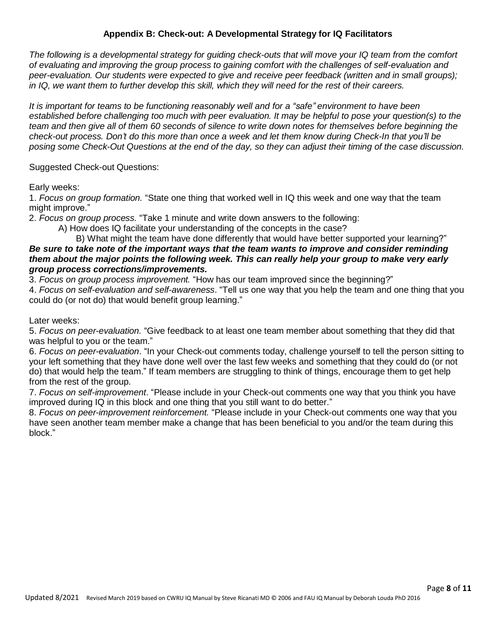# **Appendix B: Check-out: A Developmental Strategy for IQ Facilitators**

*The following is a developmental strategy for guiding check-outs that will move your IQ team from the comfort of evaluating and improving the group process to gaining comfort with the challenges of self-evaluation and peer-evaluation. Our students were expected to give and receive peer feedback (written and in small groups); in IQ, we want them to further develop this skill, which they will need for the rest of their careers.*

*It is important for teams to be functioning reasonably well and for a "safe" environment to have been established before challenging too much with peer evaluation. It may be helpful to pose your question(s) to the team and then give all of them 60 seconds of silence to write down notes for themselves before beginning the check-out process. Don't do this more than once a week and let them know during Check-In that you'll be*  posing some Check-Out Questions at the end of the day, so they can adjust their timing of the case discussion.

#### Suggested Check-out Questions:

Early weeks:

1. *Focus on group formation.* "State one thing that worked well in IQ this week and one way that the team might improve."

2. *Focus on group process.* "Take 1 minute and write down answers to the following:

A) How does IQ facilitate your understanding of the concepts in the case?

#### B) What might the team have done differently that would have better supported your learning?" *Be sure to take note of the important ways that the team wants to improve and consider reminding them about the major points the following week. This can really help your group to make very early group process corrections/improvements.*

3. *Focus on group process improvement.* "How has our team improved since the beginning?"

4. *Focus on self-evaluation and self-awareness*. "Tell us one way that you help the team and one thing that you could do (or not do) that would benefit group learning."

Later weeks:

5. *Focus on peer-evaluation.* "Give feedback to at least one team member about something that they did that was helpful to you or the team."

6. *Focus on peer-evaluation*. "In your Check-out comments today, challenge yourself to tell the person sitting to your left something that they have done well over the last few weeks and something that they could do (or not do) that would help the team." If team members are struggling to think of things, encourage them to get help from the rest of the group.

7. *Focus on self-improvement*. "Please include in your Check-out comments one way that you think you have improved during IQ in this block and one thing that you still want to do better."

8. *Focus on peer-improvement reinforcement.* "Please include in your Check-out comments one way that you have seen another team member make a change that has been beneficial to you and/or the team during this block."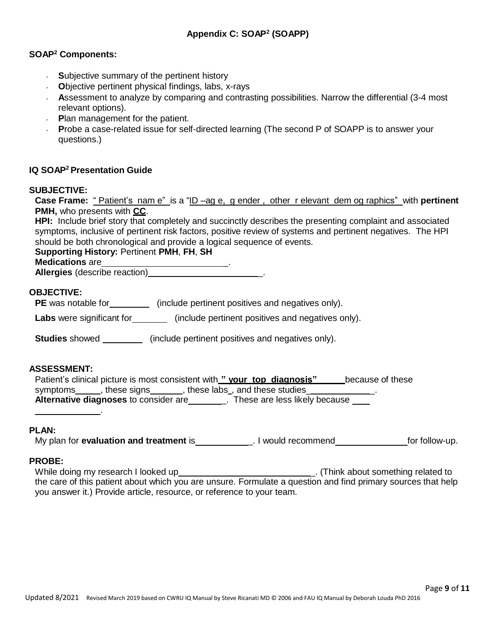#### **SOAP <sup>2</sup> Components:**

- **S**ubjective summary of the pertinent history
- **O**bjective pertinent physical findings, labs, x-rays
- **Assessment to analyze by comparing and contrasting possibilities. Narrow the differential (3-4 most** relevant options).
- **Plan management for the patient.**
- **P**robe a case-related issue for self-directed learning (The second P of SOAPP is to answer your questions.)

# **IQ SOAP <sup>2</sup> Presentation Guide**

#### **SUBJECTIVE:**

**Case Frame:** " Patient's nam e" is a "ID –ag e, g ender , other r elevant dem og raphics" with **pertinent PMH,** who presents with **CC**.

**HPI:** Include brief story that completely and succinctly describes the presenting complaint and associated symptoms, inclusive of pertinent risk factors, positive review of systems and pertinent negatives. The HPI should be both chronological and provide a logical sequence of events.

# **Supporting History:** Pertinent **PMH**, **FH**, **SH**

#### **Medications** are

**Allergies** (describe reaction)

# **OBJECTIVE:**

**PE** was notable for **(include pertinent positives and negatives only).** 

Labs were significant for **(include pertinent positives and negatives only).** 

**Studies** showed \_\_\_\_\_\_\_\_\_\_ (include pertinent positives and negatives only).

#### **ASSESSMENT:**

.

| Patient's clinical picture is most consistent with " your top diagnosis" | because of these |
|--------------------------------------------------------------------------|------------------|
| , these labs, and these studies<br>symptoms<br>these signs .             |                  |
| Alternative diagnoses to consider are<br>These are less likely because   |                  |

#### **PLAN:**

My plan for **evaluation and treatment** is **Fig. 1** Would recommend for follow-up.

#### **PROBE:**

While doing my research I looked up example and the same of think about something related to the care of this patient about which you are unsure. Formulate a question and find primary sources that help you answer it.) Provide article, resource, or reference to your team.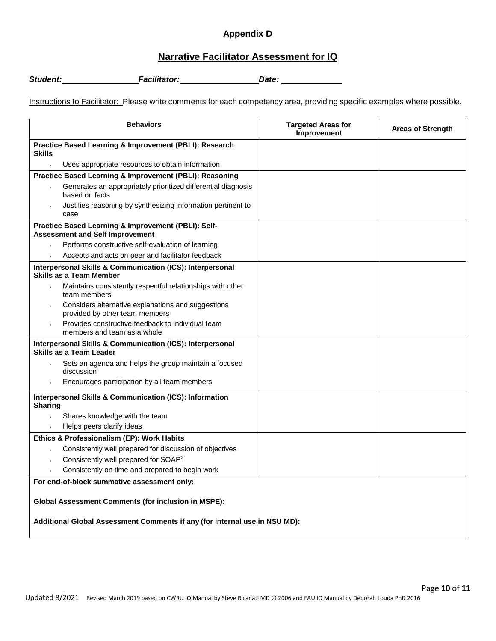# **Appendix D**

# **Narrative Facilitator Assessment for IQ**

*Student: Facilitator: Date:*

Instructions to Facilitator: Please write comments for each competency area, providing specific examples where possible.

| <b>Behaviors</b>                                                                                                                         | <b>Targeted Areas for</b><br>Improvement | <b>Areas of Strength</b> |  |  |  |  |
|------------------------------------------------------------------------------------------------------------------------------------------|------------------------------------------|--------------------------|--|--|--|--|
| Practice Based Learning & Improvement (PBLI): Research<br><b>Skills</b>                                                                  |                                          |                          |  |  |  |  |
| Uses appropriate resources to obtain information                                                                                         |                                          |                          |  |  |  |  |
| Practice Based Learning & Improvement (PBLI): Reasoning                                                                                  |                                          |                          |  |  |  |  |
| Generates an appropriately prioritized differential diagnosis<br>based on facts                                                          |                                          |                          |  |  |  |  |
| Justifies reasoning by synthesizing information pertinent to<br>case                                                                     |                                          |                          |  |  |  |  |
| Practice Based Learning & Improvement (PBLI): Self-<br><b>Assessment and Self Improvement</b>                                            |                                          |                          |  |  |  |  |
| Performs constructive self-evaluation of learning                                                                                        |                                          |                          |  |  |  |  |
| Accepts and acts on peer and facilitator feedback                                                                                        |                                          |                          |  |  |  |  |
| Interpersonal Skills & Communication (ICS): Interpersonal<br>Skills as a Team Member                                                     |                                          |                          |  |  |  |  |
| Maintains consistently respectful relationships with other<br>team members                                                               |                                          |                          |  |  |  |  |
| Considers alternative explanations and suggestions<br>provided by other team members                                                     |                                          |                          |  |  |  |  |
| Provides constructive feedback to individual team<br>members and team as a whole                                                         |                                          |                          |  |  |  |  |
| Interpersonal Skills & Communication (ICS): Interpersonal<br>Skills as a Team Leader                                                     |                                          |                          |  |  |  |  |
| Sets an agenda and helps the group maintain a focused<br>discussion                                                                      |                                          |                          |  |  |  |  |
| Encourages participation by all team members                                                                                             |                                          |                          |  |  |  |  |
| <b>Interpersonal Skills &amp; Communication (ICS): Information</b><br><b>Sharing</b>                                                     |                                          |                          |  |  |  |  |
| Shares knowledge with the team                                                                                                           |                                          |                          |  |  |  |  |
| Helps peers clarify ideas                                                                                                                |                                          |                          |  |  |  |  |
| Ethics & Professionalism (EP): Work Habits                                                                                               |                                          |                          |  |  |  |  |
| Consistently well prepared for discussion of objectives                                                                                  |                                          |                          |  |  |  |  |
| Consistently well prepared for SOAP <sup>2</sup>                                                                                         |                                          |                          |  |  |  |  |
| Consistently on time and prepared to begin work                                                                                          |                                          |                          |  |  |  |  |
| For end-of-block summative assessment only:                                                                                              |                                          |                          |  |  |  |  |
| <b>Global Assessment Comments (for inclusion in MSPE):</b><br>Additional Global Assessment Comments if any (for internal use in NSU MD): |                                          |                          |  |  |  |  |